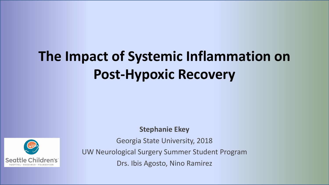# **The Impact of Systemic Inflammation on Post-Hypoxic Recovery**



**Stephanie Ekey**

Georgia State University, 2018 UW Neurological Surgery Summer Student Program Drs. Ibis Agosto, Nino Ramirez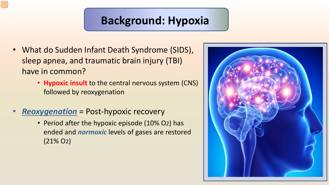#### **Background: Hypoxia**

- What do Sudden Infant Death Syndrome (SIDS), sleep apnea, and traumatic brain injury (TBI) have in common?
	- **Hypoxic insult** to the central nervous system (CNS) followed by reoxygenation
- *Reoxygenation* = Post-hypoxic recovery
	- Period after the hypoxic episode (10% O2) has ended and *normoxic* levels of gases are restored (21% O2)

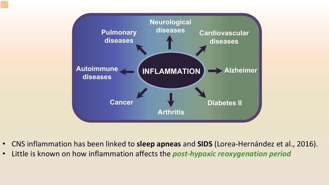

- CNS inflammation has been linked to **sleep apneas** and **SIDS** (Lorea-Hernández et al., 2016).
- Little is known on how inflammation affects the *post-hypoxic reoxygenation period*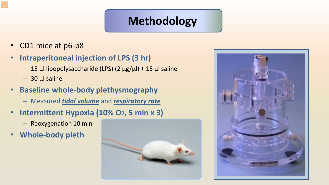#### **Methodology**

- CD1 mice at p6-p8
- **Intraperitoneal injection of LPS (3 hr)**
	- 15 μl lipopolysaccharide (LPS) (2 μg/μl) + 15 μl saline
	- $-30$  μl saline
- **Baseline whole-body plethysmography**
	- Measured *tidal volume* and *respiratory rate*
- **Intermittent Hypoxia (10% O2, 5 min x 3)**
	- Reoxygenation 10 min
- **Whole-body pleth**



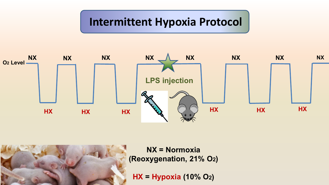#### **Intermittent Hypoxia Protocol**





**NX = Normoxia (Reoxygenation, 21% O2)**

**HX = Hypoxia (10% O2)**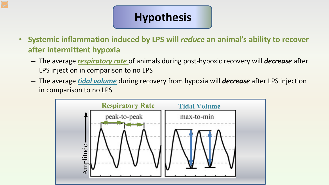## **Hypothesis**

- **Systemic inflammation induced by LPS will** *reduce* **an animal's ability to recover after intermittent hypoxia**
	- The average *respiratory rate* of animals during post-hypoxic recovery will *decrease* after LPS injection in comparison to no LPS
	- The average *tidal volume* during recovery from hypoxia will *decrease* after LPS injection in comparison to no LPS

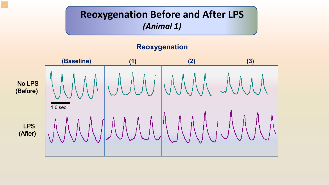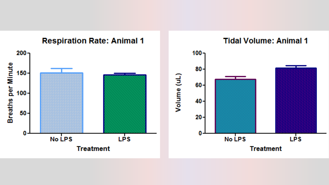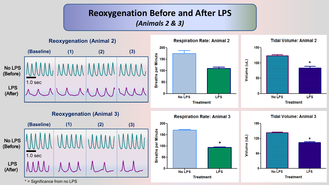#### **Reoxygenation Before and After LPS**  *(Animals 2 & 3)*

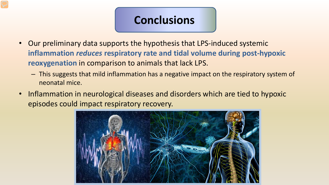### **Conclusions**

- Our preliminary data supports the hypothesis that LPS-induced systemic **inflammation** *reduces* **respiratory rate and tidal volume during post-hypoxic reoxygenation** in comparison to animals that lack LPS.
	- This suggests that mild inflammation has a negative impact on the respiratory system of neonatal mice.
- Inflammation in neurological diseases and disorders which are tied to hypoxic episodes could impact respiratory recovery.

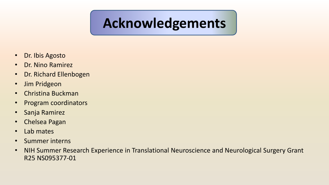## **Acknowledgements**

- Dr. Ibis Agosto
- Dr. Nino Ramirez
- Dr. Richard Ellenbogen
- Jim Pridgeon
- Christina Buckman
- Program coordinators
- Sanja Ramirez
- Chelsea Pagan
- Lab mates
- Summer interns
- NIH Summer Research Experience in Translational Neuroscience and Neurological Surgery Grant R25 NS095377-01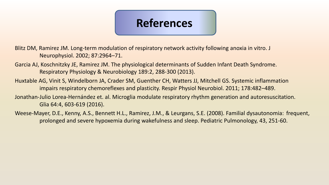## **References**

Blitz DM, Ramirez JM. Long-term modulation of respiratory network activity following anoxia in vitro. J Neurophysiol. 2002; 87:2964–71.

- Garcia AJ, Koschnitzky JE, Ramirez JM. The physiological determinants of Sudden Infant Death Syndrome. Respiratory Physiology & Neurobiology 189:2, 288-300 (2013).
- Huxtable AG, Vinit S, Windelborn JA, Crader SM, Guenther CH, Watters JJ, Mitchell GS. Systemic inflammation impairs respiratory chemoreflexes and plasticity. Respir Physiol Neurobiol. 2011; 178:482–489.
- Jonathan-Julio Lorea-Hernández et. al. Microglia modulate respiratory rhythm generation and autoresuscitation. Glia 64:4, 603-619 (2016).
- Weese-Mayer, D.E., Kenny, A.S., Bennett H.L., Ramirez, J.M., & Leurgans, S.E. (2008). Familial dysautonomia: frequent, prolonged and severe hypoxemia during wakefulness and sleep. Pediatric Pulmonology, 43, 251-60.